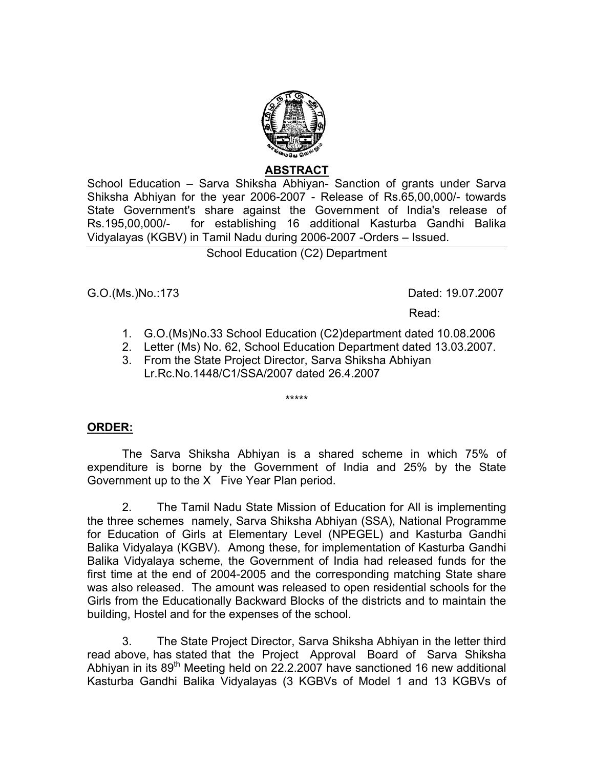

## **ABSTRACT**

School Education – Sarva Shiksha Abhiyan- Sanction of grants under Sarva Shiksha Abhiyan for the year 2006-2007 - Release of Rs.65,00,000/- towards State Government's share against the Government of India's release of Rs.195,00,000/- for establishing 16 additional Kasturba Gandhi Balika Vidyalayas (KGBV) in Tamil Nadu during 2006-2007 -Orders – Issued.

## School Education (C2) Department

G.O.(Ms.)No.:173Dated: 19.07.2007

Read:

- 1. G.O.(Ms)No.33 School Education (C2)department dated 10.08.2006
- 2. Letter (Ms) No. 62, School Education Department dated 13.03.2007.
- 3. From the State Project Director, Sarva Shiksha Abhiyan Lr.Rc.No.1448/C1/SSA/2007 dated 26.4.2007

\*\*\*\*\*

## **ORDER:**

 The Sarva Shiksha Abhiyan is a shared scheme in which 75% of expenditure is borne by the Government of India and 25% by the State Government up to the X Five Year Plan period.

2. The Tamil Nadu State Mission of Education for All is implementing the three schemes namely, Sarva Shiksha Abhiyan (SSA), National Programme for Education of Girls at Elementary Level (NPEGEL) and Kasturba Gandhi Balika Vidyalaya (KGBV). Among these, for implementation of Kasturba Gandhi Balika Vidyalaya scheme, the Government of India had released funds for the first time at the end of 2004-2005 and the corresponding matching State share was also released. The amount was released to open residential schools for the Girls from the Educationally Backward Blocks of the districts and to maintain the building, Hostel and for the expenses of the school.

 3. The State Project Director, Sarva Shiksha Abhiyan in the letter third read above, has stated that the Project Approval Board of Sarva Shiksha Abhiyan in its  $89<sup>th</sup>$  Meeting held on 22.2.2007 have sanctioned 16 new additional Kasturba Gandhi Balika Vidyalayas (3 KGBVs of Model 1 and 13 KGBVs of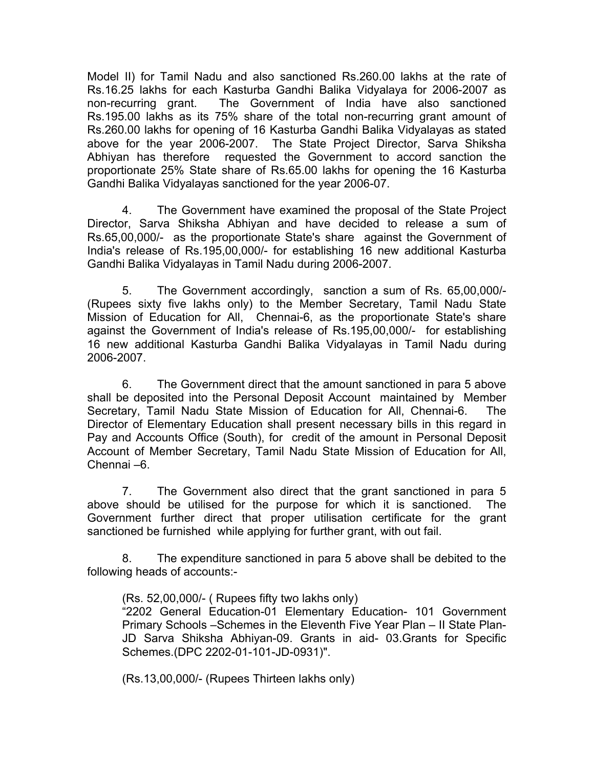Model II) for Tamil Nadu and also sanctioned Rs.260.00 lakhs at the rate of Rs.16.25 lakhs for each Kasturba Gandhi Balika Vidyalaya for 2006-2007 as non-recurring grant. The Government of India have also sanctioned Rs.195.00 lakhs as its 75% share of the total non-recurring grant amount of Rs.260.00 lakhs for opening of 16 Kasturba Gandhi Balika Vidyalayas as stated above for the year 2006-2007. The State Project Director, Sarva Shiksha Abhiyan has therefore requested the Government to accord sanction the proportionate 25% State share of Rs.65.00 lakhs for opening the 16 Kasturba Gandhi Balika Vidyalayas sanctioned for the year 2006-07.

4. The Government have examined the proposal of the State Project Director, Sarva Shiksha Abhiyan and have decided to release a sum of Rs.65,00,000/- as the proportionate State's share against the Government of India's release of Rs.195,00,000/- for establishing 16 new additional Kasturba Gandhi Balika Vidyalayas in Tamil Nadu during 2006-2007.

5. The Government accordingly, sanction a sum of Rs. 65,00,000/- (Rupees sixty five lakhs only) to the Member Secretary, Tamil Nadu State Mission of Education for All, Chennai-6, as the proportionate State's share against the Government of India's release of Rs.195,00,000/- for establishing 16 new additional Kasturba Gandhi Balika Vidyalayas in Tamil Nadu during 2006-2007.

 6. The Government direct that the amount sanctioned in para 5 above shall be deposited into the Personal Deposit Account maintained by Member Secretary, Tamil Nadu State Mission of Education for All, Chennai-6. The Director of Elementary Education shall present necessary bills in this regard in Pay and Accounts Office (South), for credit of the amount in Personal Deposit Account of Member Secretary, Tamil Nadu State Mission of Education for All, Chennai –6.

 7. The Government also direct that the grant sanctioned in para 5 above should be utilised for the purpose for which it is sanctioned. The Government further direct that proper utilisation certificate for the grant sanctioned be furnished while applying for further grant, with out fail.

8. The expenditure sanctioned in para 5 above shall be debited to the following heads of accounts:-

(Rs. 52,00,000/- ( Rupees fifty two lakhs only) "2202 General Education-01 Elementary Education- 101 Government Primary Schools –Schemes in the Eleventh Five Year Plan – II State Plan-JD Sarva Shiksha Abhiyan-09. Grants in aid- 03.Grants for Specific Schemes.(DPC 2202-01-101-JD-0931)".

(Rs.13,00,000/- (Rupees Thirteen lakhs only)